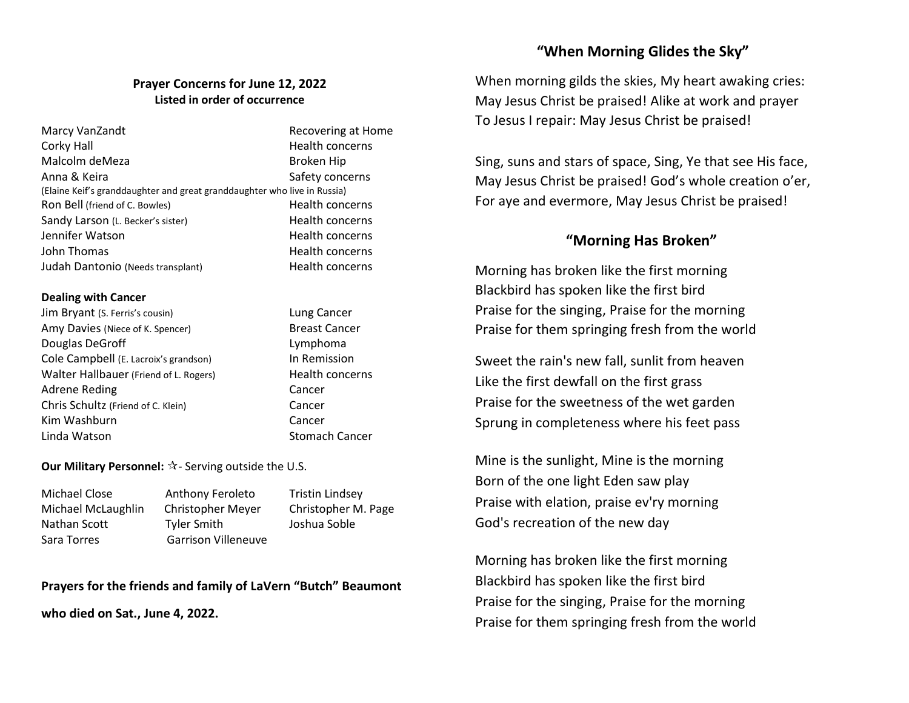#### **Prayer Concerns for June 12, 2022 Listed in order of occurrence**

| Marcy VanZandt                                                           | Recovering at Home     |
|--------------------------------------------------------------------------|------------------------|
| Corky Hall                                                               | Health concerns        |
| Malcolm deMeza                                                           | Broken Hip             |
| Anna & Keira                                                             | Safety concerns        |
| (Elaine Keif's granddaughter and great granddaughter who live in Russia) |                        |
| Ron Bell (friend of C. Bowles)                                           | Health concerns        |
| Sandy Larson (L. Becker's sister)                                        | Health concerns        |
| Jennifer Watson                                                          | Health concerns        |
| John Thomas                                                              | <b>Health concerns</b> |
| Judah Dantonio (Needs transplant)                                        | Health concerns        |

#### **Dealing with Cancer**

| Jim Bryant (S. Ferris's cousin)        | Lung Cance         |
|----------------------------------------|--------------------|
| Amy Davies (Niece of K. Spencer)       | <b>Breast Cand</b> |
| Douglas DeGroff                        | Lymphoma           |
| Cole Campbell (E. Lacroix's grandson)  | In Remissio        |
| Walter Hallbauer (Friend of L. Rogers) | Health con         |
| Adrene Reding                          | Cancer             |
| Chris Schultz (Friend of C. Klein)     | Cancer             |
| Kim Washburn                           | Cancer             |
| Linda Watson                           | Stomach Ca         |

g Cancer ast Cancer emission Ith concerns mach Cancer

#### **Our Military Personnel:**  $\mathbf{\hat{x}}$ - Serving outside the U.S.

Michael Close **Anthony Feroleto** Tristin Lindsey Michael McLaughlin Christopher Meyer Christopher M. Page Nathan Scott Tyler Smith Joshua Soble Sara Torres Garrison Villeneuve

# **Prayers for the friends and family of LaVern "Butch" Beaumont**

**who died on Sat., June 4, 2022.**

### **"When Morning Glides the Sky"**

When morning gilds the skies, My heart awaking cries: May Jesus Christ be praised! Alike at work and prayer To Jesus I repair: May Jesus Christ be praised!

Sing, suns and stars of space, Sing, Ye that see His face, May Jesus Christ be praised! God's whole creation o'er, For aye and evermore, May Jesus Christ be praised!

### **"Morning Has Broken"**

Morning has broken like the first morning Blackbird has spoken like the first bird Praise for the singing, Praise for the morning Praise for them springing fresh from the world

Sweet the rain's new fall, sunlit from heaven Like the first dewfall on the first grass Praise for the sweetness of the wet garden Sprung in completeness where his feet pass

Mine is the sunlight, Mine is the morning Born of the one light Eden saw play Praise with elation, praise ev'ry morning God's recreation of the new day

Morning has broken like the first morning Blackbird has spoken like the first bird Praise for the singing, Praise for the morning Praise for them springing fresh from the world